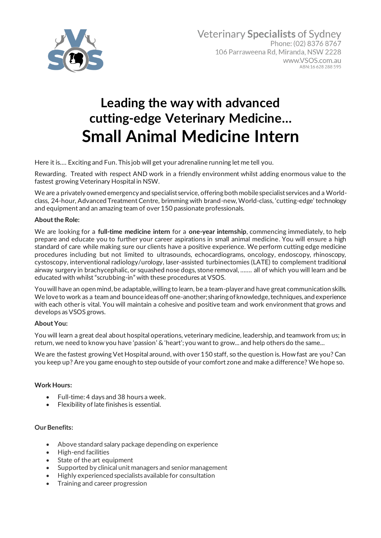

# **Leading the way with advanced cutting-edge Veterinary Medicine… Small Animal Medicine Intern**

Here it is…. Exciting and Fun. This job will get your adrenaline running let me tell you.

Rewarding. Treated with respect AND work in a friendly environment whilst adding enormous value to the fastest growing Veterinary Hospital in NSW.

We are a privately owned emergency and specialist service, offering both mobile specialist services and a Worldclass, 24-hour, Advanced Treatment Centre, brimming with brand-new, World-class, 'cutting-edge' technology and equipment and an amazing team of over 150 passionate professionals.

## **About the Role:**

We are looking for a **full-time medicine intern** for a **one-year internship**, commencing immediately, to help prepare and educate you to further your career aspirations in small animal medicine. You will ensure a high standard of care while making sure our clients have a positive experience. We perform cutting edge medicine procedures including but not limited to ultrasounds, echocardiograms, oncology, endoscopy, rhinoscopy, cystoscopy, interventional radiology/urology, laser-assisted turbinectomies (LATE) to complement traditional airway surgery in brachycephalic, or squashed nose dogs, stone removal, ……. all of which you will learn and be educated with whilst "scrubbing-in" with these procedures at VSOS.

You will have an open mind, be adaptable, willing to learn, be a team-player and have great communication skills. We love to work as a team and bounce ideas off one-another; sharing of knowledge, techniques, and experience with each other is vital. You will maintain a cohesive and positive team and work environment that grows and develops as VSOS grows.

## **About You:**

You will learn a great deal about hospital operations, veterinary medicine, leadership, and teamwork from us; in return, we need to know you have 'passion' & 'heart'; you want to grow... and help others do the same...

We are the fastest growing Vet Hospital around, with over 150 staff, so the question is. How fast are you? Can you keep up? Are you game enough to step outside of your comfort zone and make a difference? We hope so.

### **Work Hours:**

- Full-time: 4 days and 38 hours a week.
- Flexibility of late finishes is essential.

### **Our Benefits:**

- Above standard salary package depending on experience
- High-end facilities
- State of the art equipment
- Supported by clinical unit managers and senior management
- Highly experienced specialists available for consultation
- Training and career progression